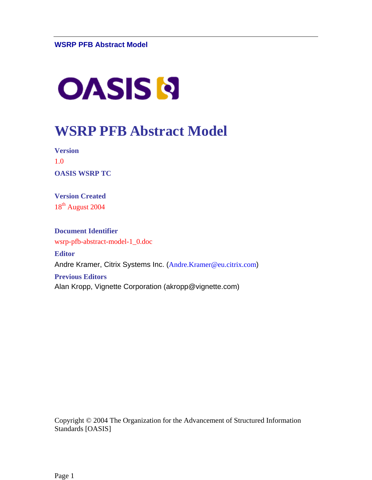# **OASIS N**

## **WSRP PFB Abstract Model**

**Version**  1.0 **OASIS WSRP TC** 

**Version Created**  18<sup>th</sup> August 2004

**Document Identifier**  wsrp-pfb-abstract-model-1\_0.doc **Editor**  Andre Kramer, Citrix Systems Inc. ([Andre.Kramer@eu.citrix.com](mailto:Andre.Kramer@eu.citrix.com)) **Previous Editors** 

Alan Kropp, Vignette Corporation (akropp@vignette.com)

Copyright © 2004 The Organization for the Advancement of Structured Information Standards [OASIS]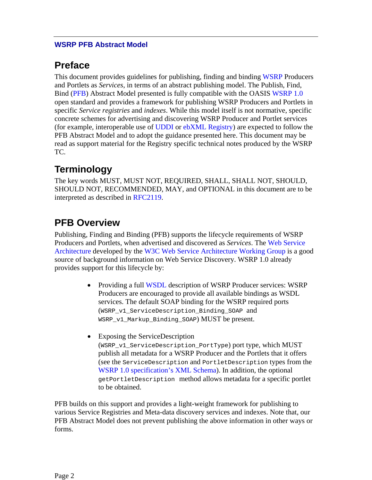## **Preface**

This document provides guidelines for publishing, finding and binding [WSRP](http://www.oasis-open.org/committees/tc_home.php?wg_abbrev=wsrp) Producers and Portlets as *Services*, in terms of an abstract publishing model. The Publish, Find, Bind (PFB) Abstract Model presented is fully compatible with the OASIS [WSRP 1.0](http://www.oasis-open.org/committees/download.php/3343/oasis-200304-wsrp-specification-1.0.pdf) open standard and provides a framework for publishing WSRP Producers and Portlets in specific *Service registries* and *indexes*. While this model itself is not normative, specific concrete schemes for advertising and discovering WSRP Producer and Portlet services (for example, interoperable use of [UDDI](http://www.oasis-open.org/committees/tc_home.php?wg_abbrev=uddi-spec) or [ebXML Registry](http://xml.coverpages.org/OASIS-Regrep-rsV101.pdf)) are expected to follow the PFB Abstract Model and to adopt the guidance presented here. This document may be read as support material for the Registry specific technical notes produced by the WSRP TC.

## **Terminology**

The key words MUST, MUST NOT, REQUIRED, SHALL, SHALL NOT, SHOULD, SHOULD NOT, RECOMMENDED, MAY, and OPTIONAL in this document are to be interpreted as described in [RFC2119.](http://ietf.org/rfc/rfc2119.txt)

## **PFB Overview**

Publishing, Finding and Binding (PFB) supports the lifecycle requirements of WSRP Producers and Portlets, when advertised and discovered as *Services*. The [Web Service](http://www.w3.org/TR/ws-arch/) [Architecture](http://www.w3.org/TR/ws-arch/) developed by the [W3C Web Service Architecture Working Group](http://www.w3c.org/2002/ws/arch/) is a good source of background information on Web Service Discovery. WSRP 1.0 already provides support for this lifecycle by:

- Providing a full [WSDL](http://www.w3.org/TR/wsdl) description of WSRP Producer services: WSRP Producers are encouraged to provide all available bindings as WSDL services. The default SOAP binding for the WSRP required ports (WSRP\_v1\_ServiceDescription\_Binding\_SOAP and WSRP\_v1\_Markup\_Binding\_SOAP) MUST be present.
- Exposing the ServiceDescription (WSRP\_v1\_ServiceDescription\_PortType) port type, which MUST publish all metadata for a WSRP Producer and the Portlets that it offers (see the ServiceDescription and PortletDescription types from the [WSRP 1.0 specification's XML Schema](http://www.oasis-open.org/committees/wsrp/specifications/version1/wsrp_v1_types.xsd)). In addition, the optional getPortletDescription method allows metadata for a specific portlet to be obtained.

PFB builds on this support and provides a light-weight framework for publishing to various Service Registries and Meta-data discovery services and indexes. Note that, our PFB Abstract Model does not prevent publishing the above information in other ways or forms.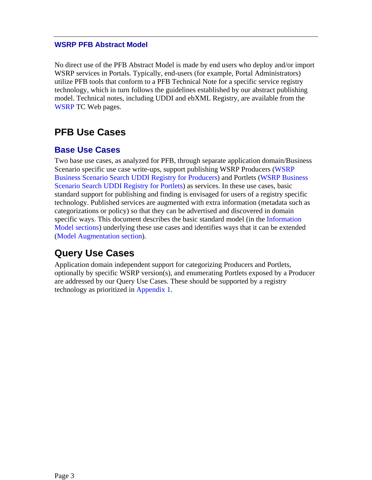<span id="page-2-0"></span>No direct use of the PFB Abstract Model is made by end users who deploy and/or import WSRP services in Portals. Typically, end-users (for example, Portal Administrators) utilize PFB tools that conform to a PFB Technical Note for a specific service registry technology, which in turn follows the guidelines established by our abstract publishing model. Technical notes, including UDDI and ebXML Registry, are available from the [WSRP](http://www.oasis-open.org/apps/org/workgroup/wsrp/wsrp-pfb/download.php/3264/wsrpbusinessscenario_uddi2-ak2.doc) TC Web pages.

## **PFB Use Cases**

#### **Base Use Cases**

Two base use cases, as analyzed for PFB, through separate application domain/Business Scenario specific use case write-ups, support publishing WSRP Producers [\(WSRP](http://www.oasis-open.org/apps/org/workgroup/wsrp/wsrp-pfb/download.php/2919/wsrpbusinessscenario_uddi1.doc)  [Business Scenario Search UDDI Registry for Producers\)](http://www.oasis-open.org/apps/org/workgroup/wsrp/wsrp-pfb/download.php/2919/wsrpbusinessscenario_uddi1.doc) and Portlets ([WSRP Business](http://www.oasis-open.org/apps/org/workgroup/wsrp/wsrp-pfb/download.php/3264/wsrpbusinessscenario_uddi2-ak2.doc)  [Scenario Search UDDI Registry for Portlets\)](http://www.oasis-open.org/apps/org/workgroup/wsrp/wsrp-pfb/download.php/3264/wsrpbusinessscenario_uddi2-ak2.doc) as services. In these use cases, basic standard support for publishing and finding is envisaged for users of a registry specific technology. Published services are augmented with extra information (metadata such as categorizations or policy) so that they can be advertised and discovered in domain specific ways. This document describes the basic standard model (in the Information Model sections) underlying these use cases and identifies ways that it can be extended (Model Augmentation section).

## **Query Use Cases**

Application domain independent support for categorizing Producers and Portlets, optionally by specific WSRP version(s), and enumerating Portlets exposed by a Producer are addressed by our Query Use Cases. These should be supported by a registry technology as prioritized in [Appendix 1.](#page-8-0)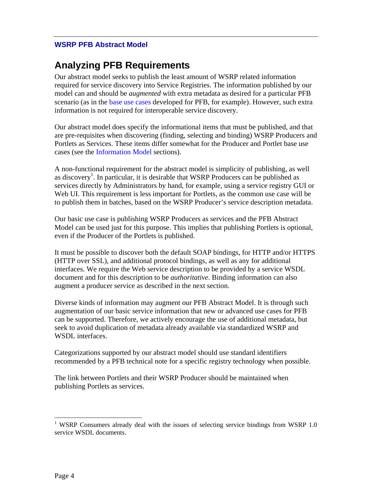## **Analyzing PFB Requirements**

Our abstract model seeks to publish the least amount of WSRP related information required for service discovery into Service Registries. The information published by our model can and should be *augmented* with extra metadata as desired for a particular PFB scenario (as in the [base use cases](#page-2-0) developed for PFB, for example). However, such extra information is not required for interoperable service discovery.

Our abstract model does specify the informational items that must be published, and that are pre-requisites when discovering (finding, selecting and binding) WSRP Producers and Portlets as Services. These items differ somewhat for the Producer and Portlet base use cases (see the [Information Model](#page-4-0) sections).

A non-functional requirement for the abstract model is simplicity of publishing, as well as discovery<sup>[1](#page-3-0)</sup>. In particular, it is desirable that WSRP Producers can be published as services directly by Administrators by hand, for example, using a service registry GUI or Web UI. This requirement is less important for Portlets, as the common use case will be to publish them in batches, based on the WSRP Producer's service description metadata.

Our basic use case is publishing WSRP Producers as services and the PFB Abstract Model can be used just for this purpose. This implies that publishing Portlets is optional, even if the Producer of the Portlets is published.

It must be possible to discover both the default SOAP bindings, for HTTP and/or HTTPS (HTTP over SSL), and additional protocol bindings, as well as any for additional interfaces. We require the Web service description to be provided by a service WSDL document and for this description to be *authoritative*. Binding information can also augment a producer service as described in the next section.

Diverse kinds of information may augment our PFB Abstract Model. It is through such augmentation of our basic service information that new or advanced use cases for PFB can be supported. Therefore, we actively encourage the use of additional metadata, but seek to avoid duplication of metadata already available via standardized WSRP and WSDL interfaces.

Categorizations supported by our abstract model should use standard identifiers recommended by a PFB technical note for a specific registry technology when possible.

The link between Portlets and their WSRP Producer should be maintained when publishing Portlets as services.

<span id="page-3-0"></span><sup>&</sup>lt;sup>1</sup> WSRP Consumers already deal with the issues of selecting service bindings from WSRP 1.0 service WSDL documents.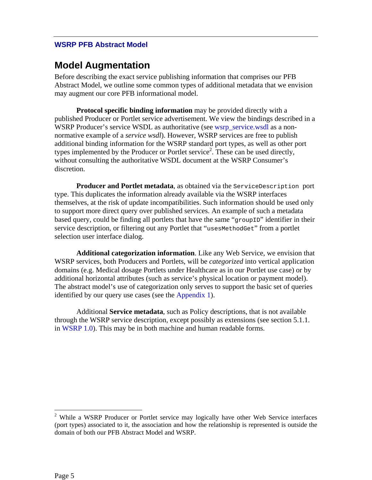#### <span id="page-4-0"></span>**Model Augmentation**

Before describing the exact service publishing information that comprises our PFB Abstract Model, we outline some common types of additional metadata that we envision may augment our core PFB informational model.

**Protocol specific binding information** may be provided directly with a published Producer or Portlet service advertisement. We view the bindings described in a WSRP Producer's service WSDL as authoritative (see [wsrp\\_service.wsdl](http://www.oasis-open.org/committees/wsrp/specifications/version1/wsrp_service.wsdl) as a nonnormative example of a *service wsdl*). However, WSRP services are free to publish additional binding information for the WSRP standard port types, as well as other port types implemented by the Producer or Portlet service<sup>[2](#page-4-1)</sup>. These can be used directly, without consulting the authoritative WSDL document at the WSRP Consumer's discretion.

**Producer and Portlet metadata**, as obtained via the ServiceDescription port type. This duplicates the information already available via the WSRP interfaces themselves, at the risk of update incompatibilities. Such information should be used only to support more direct query over published services. An example of such a metadata based query, could be finding all portlets that have the same "groupID" identifier in their service description, or filtering out any Portlet that "uses MethodGet" from a portlet selection user interface dialog.

**Additional categorization information**. Like any Web Service, we envision that WSRP services, both Producers and Portlets, will be *categorized* into vertical application domains (e.g. Medical dosage Portlets under Healthcare as in our Portlet use case) or by additional horizontal attributes (such as service's physical location or payment model). The abstract model's use of categorization only serves to support the basic set of queries identified by our query use cases (see the [Appendix 1\)](#page-8-0).

Additional **Service metadata**, such as Policy descriptions, that is not available through the WSRP service description, except possibly as extensions (see section 5.1.1. in [WSRP 1.0\)](http://www.oasis-open.org/committees/download.php/2877/wsrp-specification-1.0-cs-1.0-rev2.pdf). This may be in both machine and human readable forms.

<span id="page-4-1"></span><sup>&</sup>lt;sup>2</sup> While a WSRP Producer or Portlet service may logically have other Web Service interfaces (port types) associated to it, the association and how the relationship is represented is outside the domain of both our PFB Abstract Model and WSRP.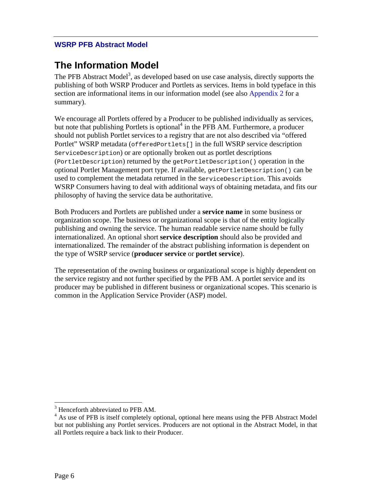## **The Information Model**

The PFB Abstract Model<sup>[3](#page-5-0)</sup>, as developed based on use case analysis, directly supports the publishing of both WSRP Producer and Portlets as services. Items in bold typeface in this section are informational items in our information model (see also [Appendix 2](#page-9-0) for a summary).

We encourage all Portlets offered by a Producer to be published individually as services, but note that publishing Portlets [i](#page-5-1)s optional<sup>4</sup> in the PFB AM. Furthermore, a producer should not publish Portlet services to a registry that are not also described via "offered Portlet" WSRP metadata (offeredPortlets[] in the full WSRP service description ServiceDescription) or are optionally broken out as portlet descriptions (PortletDescription) returned by the getPortletDescription() operation in the optional Portlet Management port type. If available, getPortletDescription() can be used to complement the metadata returned in the ServiceDescription. This avoids WSRP Consumers having to deal with additional ways of obtaining metadata, and fits our philosophy of having the service data be authoritative.

Both Producers and Portlets are published under a **service name** in some business or organization scope. The business or organizational scope is that of the entity logically publishing and owning the service. The human readable service name should be fully internationalized. An optional short **service description** should also be provided and internationalized. The remainder of the abstract publishing information is dependent on the type of WSRP service (**producer service** or **portlet service**).

The representation of the owning business or organizational scope is highly dependent on the service registry and not further specified by the PFB AM. A portlet service and its producer may be published in different business or organizational scopes. This scenario is common in the Application Service Provider (ASP) model.

<span id="page-5-0"></span><sup>&</sup>lt;sup>3</sup> Henceforth abbreviated to PFB AM.

<span id="page-5-1"></span><sup>&</sup>lt;sup>4</sup> As use of PFB is itself completely optional, optional here means using the PFB Abstract Model but not publishing any Portlet services. Producers are not optional in the Abstract Model, in that all Portlets require a back link to their Producer.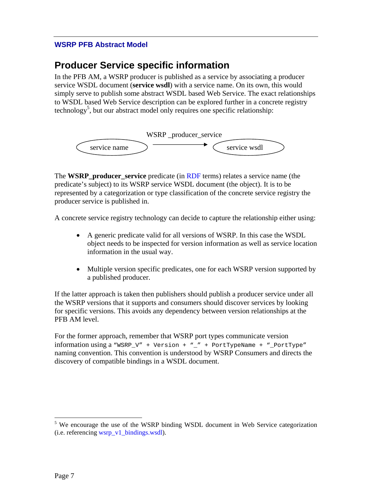### **Producer Service specific information**

In the PFB AM, a WSRP producer is published as a service by associating a producer service WSDL document (**service wsdl**) with a service name. On its own, this would simply serve to publish some abstract WSDL based Web Service. The exact relationships to WSDL based Web Service description can be explored further in a concrete registry technology<sup>5</sup>, but our abstract model only requires one specific relationship:



The **WSRP\_producer\_service** predicate (in [RDF](http://www.w3.org/TR/rdf-primer/) terms) relates a service name (the predicate's subject) to its WSRP service WSDL document (the object). It is to be represented by a categorization or type classification of the concrete service registry the producer service is published in.

A concrete service registry technology can decide to capture the relationship either using:

- A generic predicate valid for all versions of WSRP. In this case the WSDL object needs to be inspected for version information as well as service location information in the usual way.
- Multiple version specific predicates, one for each WSRP version supported by a published producer.

If the latter approach is taken then publishers should publish a producer service under all the WSRP versions that it supports and consumers should discover services by looking for specific versions. This avoids any dependency between version relationships at the PFB AM level.

For the former approach, remember that WSRP port types communicate version information using a "WSRP\_V" + Version + "\_" + PortTypeName + "\_PortType" naming convention. This convention is understood by WSRP Consumers and directs the discovery of compatible bindings in a WSDL document.

<span id="page-6-0"></span><sup>&</sup>lt;sup>5</sup> We encourage the use of the WSRP binding WSDL document in Web Service categorization (i.e. referencing [wsrp\\_v1\\_bindings.wsdl](http://www.oasis-open.org/committees/wsrp/specifications/version1/wsrp_v1_bindings.wsdl)).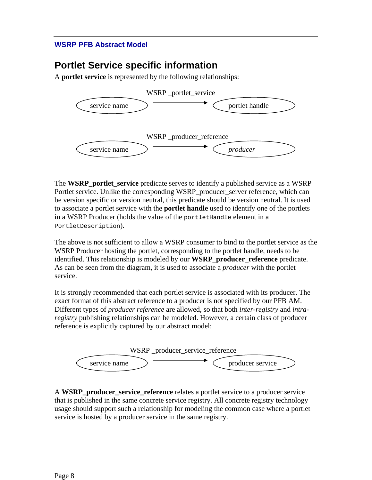## **Portlet Service specific information**

A **portlet service** is represented by the following relationships:



The **WSRP\_portlet\_service** predicate serves to identify a published service as a WSRP Portlet service. Unlike the corresponding WSRP\_producer\_server reference, which can be version specific or version neutral, this predicate should be version neutral. It is used to associate a portlet service with the **portlet handle** used to identify one of the portlets in a WSRP Producer (holds the value of the portletHandle element in a PortletDescription).

The above is not sufficient to allow a WSRP consumer to bind to the portlet service as the WSRP Producer hosting the portlet, corresponding to the portlet handle, needs to be identified. This relationship is modeled by our **WSRP\_producer\_reference** predicate. As can be seen from the diagram, it is used to associate a *producer* with the portlet service.

It is strongly recommended that each portlet service is associated with its producer. The exact format of this abstract reference to a producer is not specified by our PFB AM. Different types of *producer reference* are allowed, so that both *inter-registry* and *intraregistry* publishing relationships can be modeled. However, a certain class of producer reference is explicitly captured by our abstract model:



A **WSRP\_producer\_service\_reference** relates a portlet service to a producer service that is published in the same concrete service registry. All concrete registry technology usage should support such a relationship for modeling the common case where a portlet service is hosted by a producer service in the same registry.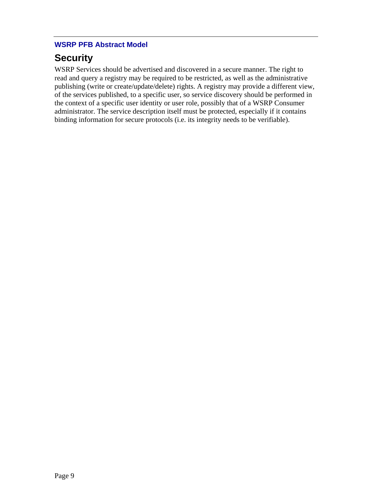## <span id="page-8-0"></span>**Security**

WSRP Services should be advertised and discovered in a secure manner. The right to read and query a registry may be required to be restricted, as well as the administrative publishing (write or create/update/delete) rights. A registry may provide a different view, of the services published, to a specific user, so service discovery should be performed in the context of a specific user identity or user role, possibly that of a WSRP Consumer administrator. The service description itself must be protected, especially if it contains binding information for secure protocols (i.e. its integrity needs to be verifiable).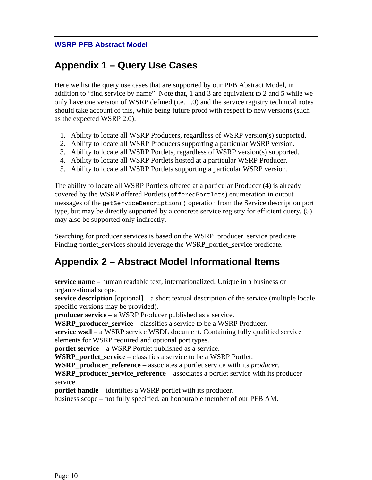## <span id="page-9-0"></span>**Appendix 1 – Query Use Cases**

Here we list the query use cases that are supported by our PFB Abstract Model, in addition to "find service by name". Note that, 1 and 3 are equivalent to 2 and 5 while we only have one version of WSRP defined (i.e. 1.0) and the service registry technical notes should take account of this, while being future proof with respect to new versions (such as the expected WSRP 2.0).

- 1. Ability to locate all WSRP Producers, regardless of WSRP version(s) supported.
- 2. Ability to locate all WSRP Producers supporting a particular WSRP version.
- 3. Ability to locate all WSRP Portlets, regardless of WSRP version(s) supported.
- 4. Ability to locate all WSRP Portlets hosted at a particular WSRP Producer.
- 5. Ability to locate all WSRP Portlets supporting a particular WSRP version.

The ability to locate all WSRP Portlets offered at a particular Producer (4) is already covered by the WSRP offered Portlets (offeredPortlets) enumeration in output messages of the getServiceDescription() operation from the Service description port type, but may be directly supported by a concrete service registry for efficient query. (5) may also be supported only indirectly.

Searching for producer services is based on the WSRP\_producer\_service predicate. Finding portlet services should leverage the WSRP portlet service predicate.

## **Appendix 2 – Abstract Model Informational Items**

**service name** – human readable text, internationalized. Unique in a business or organizational scope.

**service description** [optional] – a short textual description of the service (multiple locale specific versions may be provided).

**producer service** – a WSRP Producer published as a service.

**WSRP\_producer\_service** – classifies a service to be a WSRP Producer.

**service wsdl** – a WSRP service WSDL document. Containing fully qualified service elements for WSRP required and optional port types.

**portlet service** – a WSRP Portlet published as a service.

**WSRP\_portlet\_service** – classifies a service to be a WSRP Portlet.

**WSRP\_producer\_reference** – associates a portlet service with its *producer*.

**WSRP** producer service reference – associates a portlet service with its producer service.

**portlet handle** – identifies a WSRP portlet with its producer.

business scope – not fully specified, an honourable member of our PFB AM.